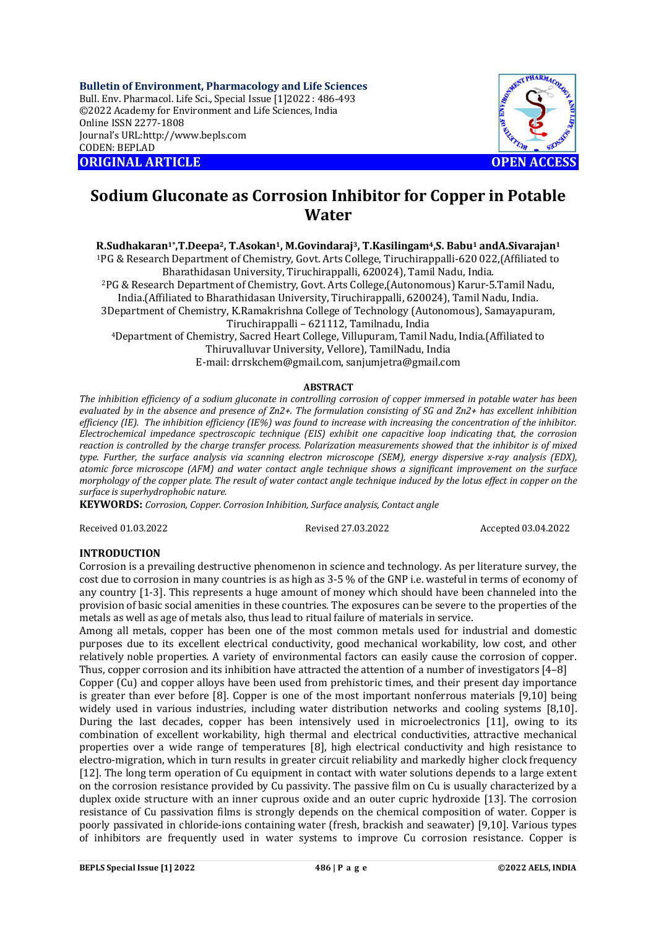**Bulletin of Environment, Pharmacology and Life Sciences** Bull. Env. Pharmacol. Life Sci., Special Issue [1]2022 : 486-493 ©2022 Academy for Environment and Life Sciences, India Online ISSN 2277-1808 Journal's URL:<http://www.bepls.com> CODEN: BEPLAD **ORIGINAL ARTICLE OPEN ACCESS** 



# **Sodium Gluconate as Corrosion Inhibitor for Copper in Potable Water**

# **R.Sudhakaran1\*,T.Deepa2, T.Asokan1, M.Govindaraj3, T.Kasilingam4,S. Babu<sup>1</sup> andA.Sivarajan<sup>1</sup>**

<sup>1</sup>PG & Research Department of Chemistry, Govt. Arts College, Tiruchirappalli-620 022,(Affiliated to Bharathidasan University, Tiruchirappalli, 620024), Tamil Nadu, India.

<sup>2</sup>PG & Research Department of Chemistry, Govt. Arts College,(Autonomous) Karur-5.Tamil Nadu, India.(Affiliated to Bharathidasan University, Tiruchirappalli, 620024), Tamil Nadu, India. 3Department of Chemistry, K.Ramakrishna College of Technology (Autonomous), Samayapuram,

Tiruchirappalli – 621112, Tamilnadu, India

<sup>4</sup>Department of Chemistry, Sacred Heart College, Villupuram, Tamil Nadu, India.(Affiliated to Thiruvalluvar University, Vellore), TamilNadu, India E-mail: [drrskchem@gmail.com,](mailto:drrskchem@gmail.com,) [sanjumjetra@gmail.com](mailto:sanjumjetra@gmail.com)

## **ABSTRACT**

*The inhibition efficiency of a sodium gluconate in controlling corrosion of copper immersed in potable water has been evaluated by in the absence and presence of Zn2+. The formulation consisting of SG and Zn2+ has excellent inhibition efficiency (IE). The inhibition efficiency (IE%) was found to increase with increasing the concentration of the inhibitor. Electrochemical impedance spectroscopic technique (EIS) exhibit one capacitive loop indicating that, the corrosion reaction is controlled by the charge transfer process. Polarization measurements showed that the inhibitor is of mixed type. Further, the surface analysis via scanning electron microscope (SEM), energy dispersive x-ray analysis (EDX), atomic force microscope (AFM) and water contact angle technique shows a significant improvement on the surface morphology of the copper plate. The result of water contact angle technique induced by the lotus effect in copper on the surface is superhydrophobic nature.*

**KEYWORDS:** *Corrosion, Copper. Corrosion Inhibition, Surface analysis, Contact angle*

Received 01.03.2022 Revised 27.03.2022 Accepted 03.04.2022

## **INTRODUCTION**

Corrosion is a prevailing destructive phenomenon in science and technology. As per literature survey, the cost due to corrosion in many countries is as high as 3-5 % of the GNP i.e. wasteful in terms of economy of any country [1-3]. This represents a huge amount of money which should have been channeled into the provision of basic social amenities in these countries. The exposures can be severe to the properties of the metals as well as age of metals also, thus lead to ritual failure of materials in service.

Among all metals, copper has been one of the most common metals used for industrial and domestic purposes due to its excellent electrical conductivity, good mechanical workability, low cost, and other relatively noble properties. A variety of environmental factors can easily cause the corrosion of copper. Thus, copper corrosion and its inhibition have attracted the attention of a number of investigators [4–8]

Copper (Cu) and copper alloys have been used from prehistoric times, and their present day importance is greater than ever before [8]. Copper is one of the most important nonferrous materials [9,10] being widely used in various industries, including water distribution networks and cooling systems [8,10]. During the last decades, copper has been intensively used in microelectronics [11], owing to its combination of excellent workability, high thermal and electrical conductivities, attractive mechanical properties over a wide range of temperatures [8], high electrical conductivity and high resistance to electro-migration, which in turn results in greater circuit reliability and markedly higher clock frequency [12]. The long term operation of Cu equipment in contact with water solutions depends to a large extent on the corrosion resistance provided by Cu passivity. The passive film on Cu is usually characterized by a duplex oxide structure with an inner cuprous oxide and an outer cupric hydroxide [13]. The corrosion resistance of Cu passivation films is strongly depends on the chemical composition of water. Copper is poorly passivated in chloride-ions containing water (fresh, brackish and seawater) [9,10]. Various types of inhibitors are frequently used in water systems to improve Cu corrosion resistance. Copper is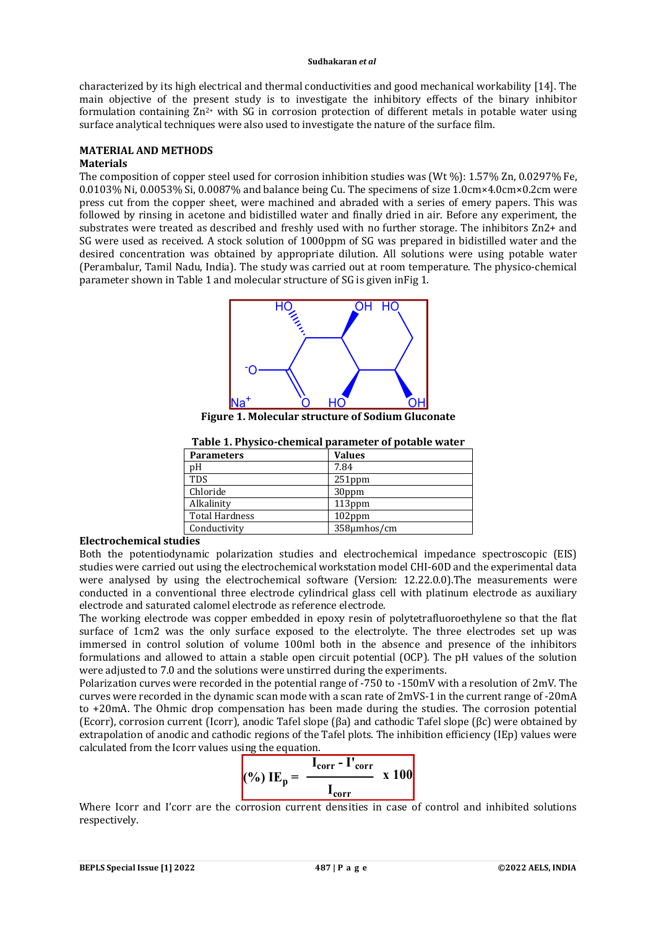characterized by its high electrical and thermal conductivities and good mechanical workability [14]. The main objective of the present study is to investigate the inhibitory effects of the binary inhibitor formulation containing Zn<sup>2+</sup> with SG in corrosion protection of different metals in potable water using surface analytical techniques were also used to investigate the nature of the surface film.

#### **MATERIAL AND METHODS Materials**

The composition of copper steel used for corrosion inhibition studies was (Wt %): 1.57% Zn, 0.0297% Fe, 0.0103% Ni, 0.0053% Si, 0.0087% and balance being Cu. The specimens of size 1.0cm×4.0cm×0.2cm were press cut from the copper sheet, were machined and abraded with a series of emery papers. This was followed by rinsing in acetone and bidistilled water and finally dried in air. Before any experiment, the substrates were treated as described and freshly used with no further storage. The inhibitors Zn2+ and SG were used as received. A stock solution of 1000ppm of SG was prepared in bidistilled water and the desired concentration was obtained by appropriate dilution. All solutions were using potable water (Perambalur, Tamil Nadu, India). The study was carried out at room temperature. The physico-chemical parameter shown in Table 1 and molecular structure of SG is given inFig 1.



**Figure 1. Molecular structure of Sodium Gluconate**

| Table 1. Physico-chemical parameter of potable water |  |
|------------------------------------------------------|--|
|                                                      |  |

| <b>Parameters</b>     | <b>Values</b> |
|-----------------------|---------------|
| pH                    | 7.84          |
| <b>TDS</b>            | $251$ ppm     |
| Chloride              | 30ppm         |
| Alkalinity            | 113ppm        |
| <b>Total Hardness</b> | $102$ ppm     |
| Conductivity          | 358µmhos/cm   |

# **Electrochemical studies**

Both the potentiodynamic polarization studies and electrochemical impedance spectroscopic (EIS) studies were carried out using the electrochemical workstation model CHI-60D and the experimental data were analysed by using the electrochemical software (Version: 12.22.0.0).The measurements were conducted in a conventional three electrode cylindrical glass cell with platinum electrode as auxiliary electrode and saturated calomel electrode as reference electrode.

The working electrode was copper embedded in epoxy resin of polytetrafluoroethylene so that the flat surface of 1cm2 was the only surface exposed to the electrolyte. The three electrodes set up was immersed in control solution of volume 100ml both in the absence and presence of the inhibitors formulations and allowed to attain a stable open circuit potential (OCP). The pH values of the solution were adjusted to 7.0 and the solutions were unstirred during the experiments.

Polarization curves were recorded in the potential range of -750 to -150mV with a resolution of 2mV. The curves were recorded in the dynamic scan mode with a scan rate of 2mVS-1 in the current range of -20mA to +20mA. The Ohmic drop compensation has been made during the studies. The corrosion potential (Ecorr), corrosion current (Icorr), anodic Tafel slope (βa) and cathodic Tafel slope (βc) were obtained by extrapolation of anodic and cathodic regions of the Tafel plots. The inhibition efficiency (IEp) values were calculated from the Icorr values using the equation.

$$
\textbf{(%) IE}_p = \frac{I_{corr} - I'_{corr}}{I_{corr}} \times 100
$$

Where Icorr and I'corr are the corrosion current densities in case of control and inhibited solutions respectively.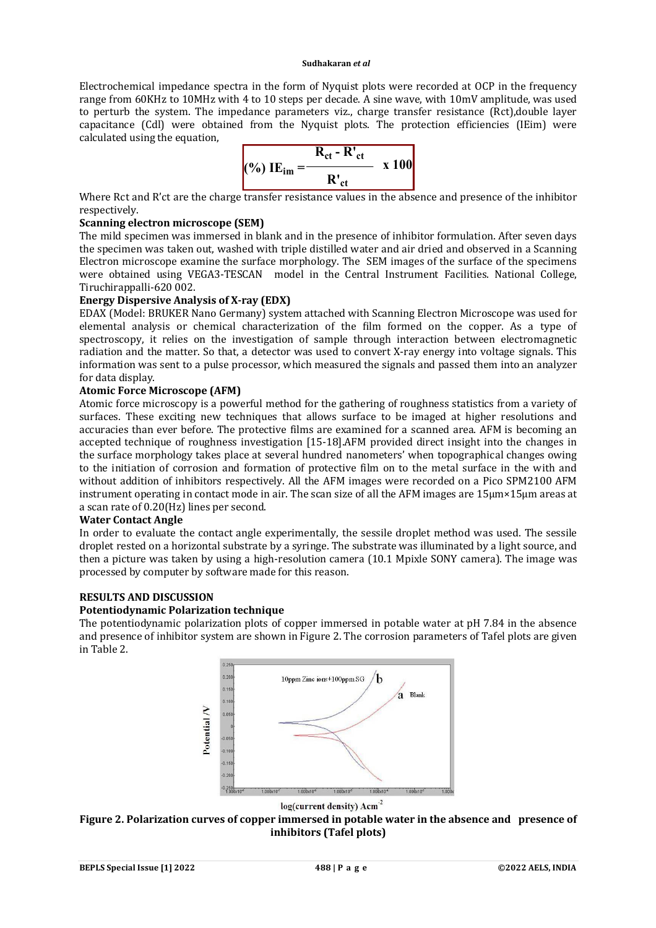Electrochemical impedance spectra in the form of Nyquist plots were recorded at OCP in the frequency range from 60KHz to 10MHz with 4 to 10 steps per decade. A sine wave, with 10mV amplitude, was used to perturb the system. The impedance parameters viz., charge transfer resistance (Rct),double layer capacitance (Cdl) were obtained from the Nyquist plots. The protection efficiencies (IEim) were calculated using the equation,

$$
(%) \tIEim = \frac{R_{ct} - R'_{ct}}{R'_{ct}} \t x 100
$$

Where Rct and R'ct are the charge transfer resistance values in the absence and presence of the inhibitor respectively.

# **Scanning electron microscope (SEM)**

The mild specimen was immersed in blank and in the presence of inhibitor formulation. After seven days the specimen was taken out, washed with triple distilled water and air dried and observed in a Scanning Electron microscope examine the surface morphology. The SEM images of the surface of the specimens were obtained using VEGA3-TESCAN model in the Central Instrument Facilities. National College, Tiruchirappalli-620 002.

# **Energy Dispersive Analysis of X-ray (EDX)**

EDAX (Model: BRUKER Nano Germany) system attached with Scanning Electron Microscope was used for elemental analysis or chemical characterization of the film formed on the copper. As a type of spectroscopy, it relies on the investigation of sample through interaction between electromagnetic radiation and the matter. So that, a detector was used to convert X-ray energy into voltage signals. This information was sent to a pulse processor, which measured the signals and passed them into an analyzer for data display.

# **Atomic Force Microscope (AFM)**

Atomic force microscopy is a powerful method for the gathering of roughness statistics from a variety of surfaces. These exciting new techniques that allows surface to be imaged at higher resolutions and accuracies than ever before. The protective films are examined for a scanned area. AFM is becoming an accepted technique of roughness investigation [15-18].AFM provided direct insight into the changes in the surface morphology takes place at several hundred nanometers' when topographical changes owing to the initiation of corrosion and formation of protective film on to the metal surface in the with and without addition of inhibitors respectively. All the AFM images were recorded on a Pico SPM2100 AFM instrument operating in contact mode in air. The scan size of all the AFM images are 15μm×15μm areas at a scan rate of 0.20(Hz) lines per second.

## **Water Contact Angle**

In order to evaluate the contact angle experimentally, the sessile droplet method was used. The sessile droplet rested on a horizontal substrate by a syringe. The substrate was illuminated by a light source, and then a picture was taken by using a high-resolution camera (10.1 Mpixle SONY camera). The image was processed by computer by software made for this reason.

# **RESULTS AND DISCUSSION**

## **Potentiodynamic Polarization technique**

The potentiodynamic polarization plots of copper immersed in potable water at pH 7.84 in the absence and presence of inhibitor system are shown in Figure 2. The corrosion parameters of Tafel plots are given in Table 2.



log(current density) Acm<sup>-2</sup>

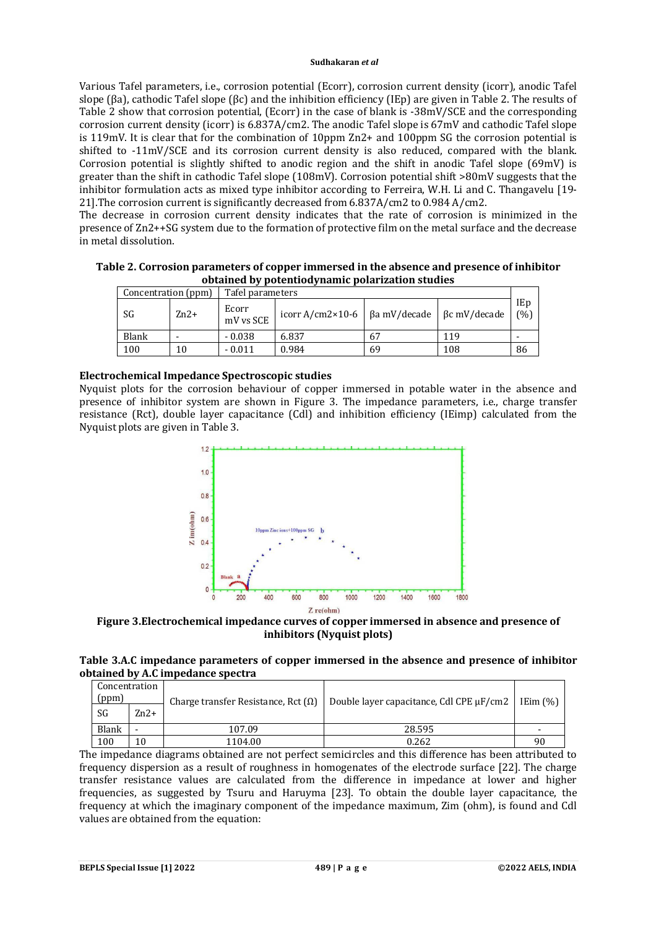Various Tafel parameters, i.e., corrosion potential (Ecorr), corrosion current density (icorr), anodic Tafel slope (βa), cathodic Tafel slope (βc) and the inhibition efficiency (IEp) are given in Table 2. The results of Table 2 show that corrosion potential, (Ecorr) in the case of blank is -38mV/SCE and the corresponding corrosion current density (icorr) is 6.837A/cm2. The anodic Tafel slope is 67mV and cathodic Tafel slope is 119mV. It is clear that for the combination of 10ppm Zn2+ and 100ppm SG the corrosion potential is shifted to -11mV/SCE and its corrosion current density is also reduced, compared with the blank. Corrosion potential is slightly shifted to anodic region and the shift in anodic Tafel slope (69mV) is greater than the shift in cathodic Tafel slope (108mV). Corrosion potential shift >80mV suggests that the inhibitor formulation acts as mixed type inhibitor according to Ferreira, W.H. Li and C. Thangavelu [19- 21].The corrosion current is significantly decreased from 6.837A/cm2 to 0.984 A/cm2.

The decrease in corrosion current density indicates that the rate of corrosion is minimized in the presence of Zn2++SG system due to the formation of protective film on the metal surface and the decrease in metal dissolution.

| Table 2. Corrosion parameters of copper immersed in the absence and presence of inhibitor |
|-------------------------------------------------------------------------------------------|
| obtained by potentiodynamic polarization studies                                          |

| Concentration (ppm) |        | Tafel parameters   |                                                              |    |     |            |
|---------------------|--------|--------------------|--------------------------------------------------------------|----|-----|------------|
| SG                  | $Zn2+$ | Ecorr<br>mV vs SCE | icorr A/cm2×10-6   $\beta$ a mV/decade   $\beta$ c mV/decade |    |     | IEp<br>(%) |
| <b>Blank</b>        |        | $-0.038$           | 6.837                                                        | 67 | 119 |            |
| 100                 |        | $-0.011$           | 0.984                                                        | 69 | 108 | 86         |

# **Electrochemical Impedance Spectroscopic studies**

Nyquist plots for the corrosion behaviour of copper immersed in potable water in the absence and presence of inhibitor system are shown in Figure 3. The impedance parameters, i.e., charge transfer resistance (Rct), double layer capacitance (Cdl) and inhibition efficiency (IEimp) calculated from the Nyquist plots are given in Table 3.



**Figure 3.Electrochemical impedance curves of copper immersed in absence and presence of inhibitors (Nyquist plots)**

**Table 3.A.C impedance parameters of copper immersed in the absence and presence of inhibitor obtained by A.C impedance spectra**

| Concentration<br>(ppm) |        | Charge transfer Resistance, Rct $(\Omega)$ | Double layer capacitance, Cdl CPE $\mu$ F/cm2 | IEim $(\%)$              |  |
|------------------------|--------|--------------------------------------------|-----------------------------------------------|--------------------------|--|
| SG                     | $Zn2+$ |                                            |                                               |                          |  |
| Blank                  | -      | 107.09                                     | 28.595                                        | $\overline{\phantom{0}}$ |  |
| 100                    | 10     | 1104.00                                    | 0.262                                         | 90                       |  |

The impedance diagrams obtained are not perfect semicircles and this difference has been attributed to frequency dispersion as a result of roughness in homogenates of the electrode surface [22]. The charge transfer resistance values are calculated from the difference in impedance at lower and higher frequencies, as suggested by Tsuru and Haruyma [23]. To obtain the double layer capacitance, the frequency at which the imaginary component of the impedance maximum, Zim (ohm), is found and Cdl values are obtained from the equation: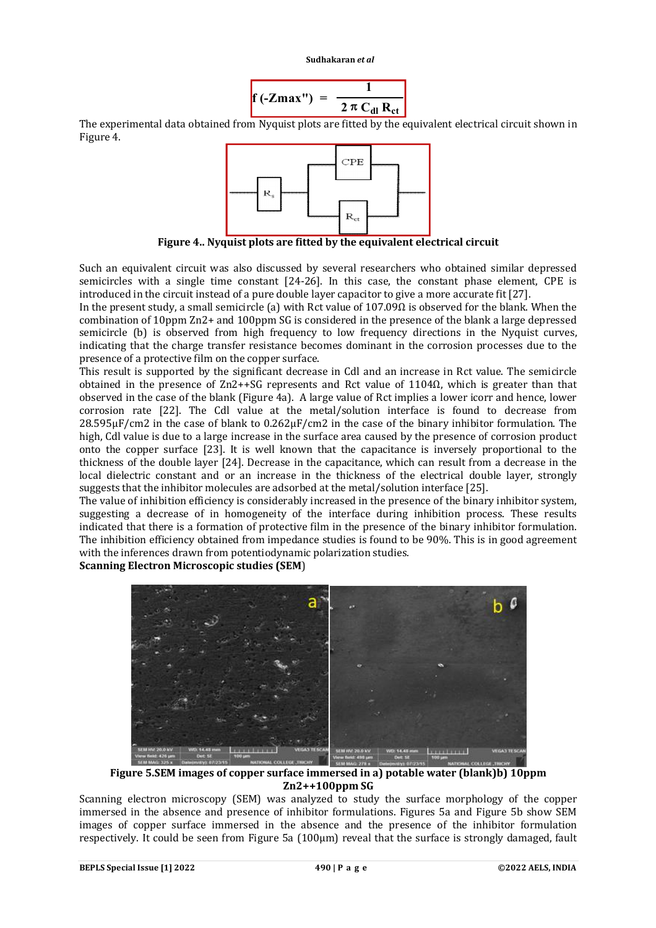

The experimental data obtained from Nyquist plots are fitted by the equivalent electrical circuit shown in Figure 4.



**Figure 4.. Nyquist plots are fitted by the equivalent electrical circuit**

Such an equivalent circuit was also discussed by several researchers who obtained similar depressed semicircles with a single time constant [24-26]. In this case, the constant phase element, CPE is introduced in the circuit instead of a pure double layer capacitor to give a more accurate fit [27].

In the present study, a small semicircle (a) with Rct value of  $107.09\Omega$  is observed for the blank. When the combination of 10ppm Zn2+ and 100ppm SG is considered in the presence of the blank a large depressed semicircle (b) is observed from high frequency to low frequency directions in the Nyquist curves, indicating that the charge transfer resistance becomes dominant in the corrosion processes due to the presence of a protective film on the copper surface.

This result is supported by the significant decrease in Cdl and an increase in Rct value. The semicircle obtained in the presence of Zn2++SG represents and Rct value of 1104Ω, which is greater than that observed in the case of the blank (Figure 4a). A large value of Rct implies a lower icorr and hence, lower corrosion rate [22]. The Cdl value at the metal/solution interface is found to decrease from  $28.595\mu$ F/cm2 in the case of blank to  $0.262\mu$ F/cm2 in the case of the binary inhibitor formulation. The high, Cdl value is due to a large increase in the surface area caused by the presence of corrosion product onto the copper surface [23]. It is well known that the capacitance is inversely proportional to the thickness of the double layer [24]. Decrease in the capacitance, which can result from a decrease in the local dielectric constant and or an increase in the thickness of the electrical double layer, strongly suggests that the inhibitor molecules are adsorbed at the metal/solution interface [25].

The value of inhibition efficiency is considerably increased in the presence of the binary inhibitor system, suggesting a decrease of in homogeneity of the interface during inhibition process. These results indicated that there is a formation of protective film in the presence of the binary inhibitor formulation. The inhibition efficiency obtained from impedance studies is found to be 90%. This is in good agreement with the inferences drawn from potentiodynamic polarization studies.

**Scanning Electron Microscopic studies (SEM**)



**Figure 5.SEM images of copper surface immersed in a) potable water (blank)b) 10ppm Zn2++100ppm SG**

Scanning electron microscopy (SEM) was analyzed to study the surface morphology of the copper immersed in the absence and presence of inhibitor formulations. Figures 5a and Figure 5b show SEM images of copper surface immersed in the absence and the presence of the inhibitor formulation respectively. It could be seen from Figure 5a (100μm) reveal that the surface is strongly damaged, fault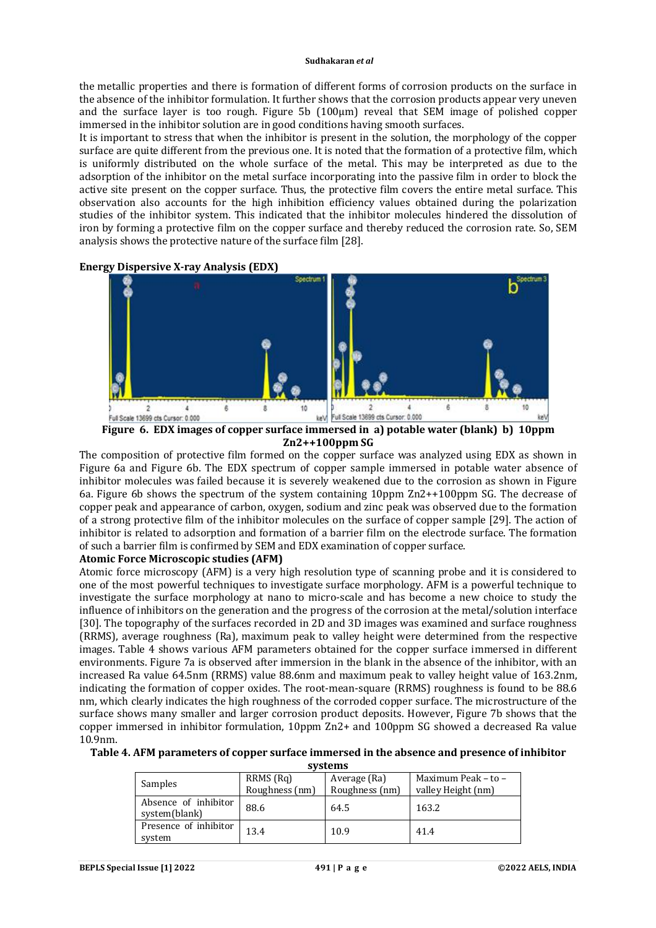the metallic properties and there is formation of different forms of corrosion products on the surface in the absence of the inhibitor formulation. It further shows that the corrosion products appear very uneven and the surface layer is too rough. Figure 5b (100μm) reveal that SEM image of polished copper immersed in the inhibitor solution are in good conditions having smooth surfaces.

It is important to stress that when the inhibitor is present in the solution, the morphology of the copper surface are quite different from the previous one. It is noted that the formation of a protective film, which is uniformly distributed on the whole surface of the metal. This may be interpreted as due to the adsorption of the inhibitor on the metal surface incorporating into the passive film in order to block the active site present on the copper surface. Thus, the protective film covers the entire metal surface. This observation also accounts for the high inhibition efficiency values obtained during the polarization studies of the inhibitor system. This indicated that the inhibitor molecules hindered the dissolution of iron by forming a protective film on the copper surface and thereby reduced the corrosion rate. So, SEM analysis shows the protective nature of the surface film [28].





**Figure 6. EDX images of copper surface immersed in a) potable water (blank) b) 10ppm Zn2++100ppm SG**

The composition of protective film formed on the copper surface was analyzed using EDX as shown in Figure 6a and Figure 6b. The EDX spectrum of copper sample immersed in potable water absence of inhibitor molecules was failed because it is severely weakened due to the corrosion as shown in Figure 6a. Figure 6b shows the spectrum of the system containing 10ppm Zn2++100ppm SG. The decrease of copper peak and appearance of carbon, oxygen, sodium and zinc peak was observed due to the formation of a strong protective film of the inhibitor molecules on the surface of copper sample [29]. The action of inhibitor is related to adsorption and formation of a barrier film on the electrode surface. The formation of such a barrier film is confirmed by SEM and EDX examination of copper surface.

# **Atomic Force Microscopic studies (AFM)**

Atomic force microscopy (AFM) is a very high resolution type of scanning probe and it is considered to one of the most powerful techniques to investigate surface morphology. AFM is a powerful technique to investigate the surface morphology at nano to micro-scale and has become a new choice to study the influence of inhibitors on the generation and the progress of the corrosion at the metal/solution interface [30]. The topography of the surfaces recorded in 2D and 3D images was examined and surface roughness (RRMS), average roughness (Ra), maximum peak to valley height were determined from the respective images. Table 4 shows various AFM parameters obtained for the copper surface immersed in different environments. Figure 7a is observed after immersion in the blank in the absence of the inhibitor, with an increased Ra value 64.5nm (RRMS) value 88.6nm and maximum peak to valley height value of 163.2nm, indicating the formation of copper oxides. The root-mean-square (RRMS) roughness is found to be 88.6 nm, which clearly indicates the high roughness of the corroded copper surface. The microstructure of the surface shows many smaller and larger corrosion product deposits. However, Figure 7b shows that the copper immersed in inhibitor formulation, 10ppm Zn2+ and 100ppm SG showed a decreased Ra value 10.9nm.

**Table 4. AFM parameters of copper surface immersed in the absence and presence of inhibitor** 

| systems                               |                             |                                |                                           |  |
|---------------------------------------|-----------------------------|--------------------------------|-------------------------------------------|--|
| Samples                               | RRMS (Rq)<br>Roughness (nm) | Average (Ra)<br>Roughness (nm) | Maximum Peak - to -<br>valley Height (nm) |  |
| Absence of inhibitor<br>system(blank) | 88.6                        | 64.5                           | 163.2                                     |  |
| Presence of inhibitor<br>system       | 13.4                        | 10.9                           | 41.4                                      |  |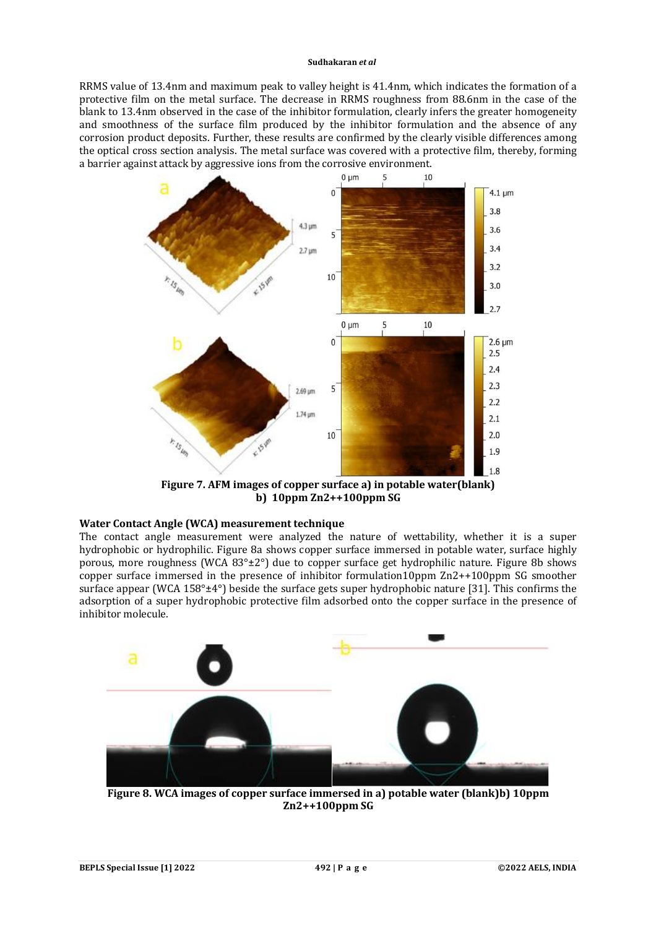RRMS value of 13.4nm and maximum peak to valley height is 41.4nm, which indicates the formation of a protective film on the metal surface. The decrease in RRMS roughness from 88.6nm in the case of the blank to 13.4nm observed in the case of the inhibitor formulation, clearly infers the greater homogeneity and smoothness of the surface film produced by the inhibitor formulation and the absence of any corrosion product deposits. Further, these results are confirmed by the clearly visible differences among the optical cross section analysis. The metal surface was covered with a protective film, thereby, forming a barrier against attack by aggressive ions from the corrosive environment.



**Figure 7. AFM images of copper surface a) in potable water(blank) b) 10ppm Zn2++100ppm SG**

# **Water Contact Angle (WCA) measurement technique**

The contact angle measurement were analyzed the nature of wettability, whether it is a super hydrophobic or hydrophilic. Figure 8a shows copper surface immersed in potable water, surface highly porous, more roughness (WCA 83°±2°) due to copper surface get hydrophilic nature. Figure 8b shows copper surface immersed in the presence of inhibitor formulation10ppm Zn2++100ppm SG smoother surface appear (WCA 158°±4°) beside the surface gets super hydrophobic nature [31]. This confirms the adsorption of a super hydrophobic protective film adsorbed onto the copper surface in the presence of inhibitor molecule.



**Figure 8. WCA images of copper surface immersed in a) potable water (blank)b) 10ppm Zn2++100ppm SG**